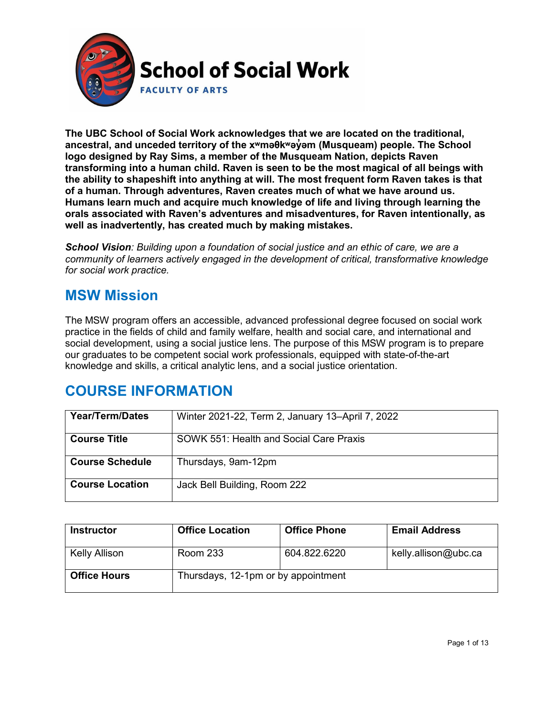

**The UBC School of Social Work acknowledges that we are located on the traditional, ancestral, and unceded territory of the [xʷməθkʷəy̓əm](http://www.musqueam.bc.ca/) (Musqueam) people. The School logo designed by Ray Sims, a member of the Musqueam Nation, depicts Raven transforming into a human child. Raven is seen to be the most magical of all beings with the ability to shapeshift into anything at will. The most frequent form Raven takes is that of a human. Through adventures, Raven creates much of what we have around us. Humans learn much and acquire much knowledge of life and living through learning the orals associated with Raven's adventures and misadventures, for Raven intentionally, as well as inadvertently, has created much by making mistakes.**

*School Vision: Building upon a foundation of social justice and an ethic of care, we are a community of learners actively engaged in the development of critical, transformative knowledge for social work practice.*

### **MSW Mission**

The MSW program offers an accessible, advanced professional degree focused on social work practice in the fields of child and family welfare, health and social care, and international and social development, using a social justice lens. The purpose of this MSW program is to prepare our graduates to be competent social work professionals, equipped with state-of-the-art knowledge and skills, a critical analytic lens, and a social justice orientation.

### **COURSE INFORMATION**

| <b>Year/Term/Dates</b> | Winter 2021-22, Term 2, January 13–April 7, 2022 |
|------------------------|--------------------------------------------------|
| <b>Course Title</b>    | SOWK 551: Health and Social Care Praxis          |
| <b>Course Schedule</b> | Thursdays, 9am-12pm                              |
| <b>Course Location</b> | Jack Bell Building, Room 222                     |

| <b>Instructor</b>   | <b>Office Location</b>              | <b>Office Phone</b> | <b>Email Address</b> |
|---------------------|-------------------------------------|---------------------|----------------------|
| Kelly Allison       | <b>Room 233</b>                     | 604.822.6220        | kelly.allison@ubc.ca |
| <b>Office Hours</b> | Thursdays, 12-1pm or by appointment |                     |                      |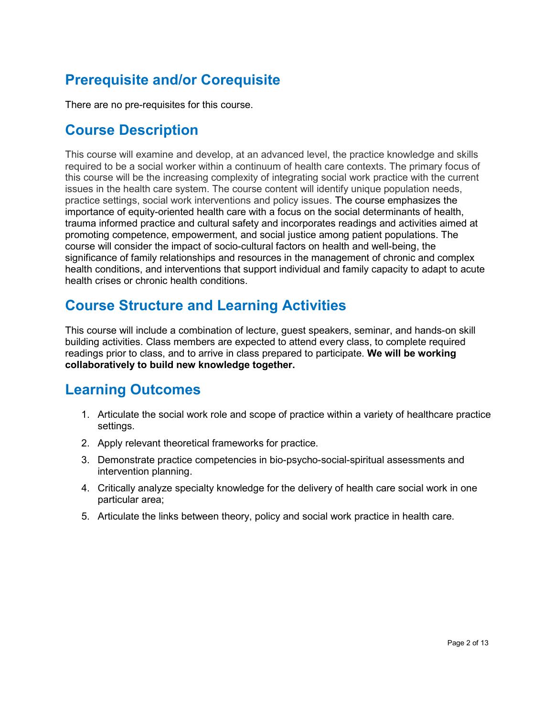# **Prerequisite and/or Corequisite**

There are no pre-requisites for this course.

## **Course Description**

This course will examine and develop, at an advanced level, the practice knowledge and skills required to be a social worker within a continuum of health care contexts. The primary focus of this course will be the increasing complexity of integrating social work practice with the current issues in the health care system. The course content will identify unique population needs, practice settings, social work interventions and policy issues. The course emphasizes the importance of equity-oriented health care with a focus on the social determinants of health, trauma informed practice and cultural safety and incorporates readings and activities aimed at promoting competence, empowerment, and social justice among patient populations. The course will consider the impact of socio-cultural factors on health and well-being, the significance of family relationships and resources in the management of chronic and complex health conditions, and interventions that support individual and family capacity to adapt to acute health crises or chronic health conditions.

## **Course Structure and Learning Activities**

This course will include a combination of lecture, guest speakers, seminar, and hands-on skill building activities. Class members are expected to attend every class, to complete required readings prior to class, and to arrive in class prepared to participate. **We will be working collaboratively to build new knowledge together.**

### **Learning Outcomes**

- 1. Articulate the social work role and scope of practice within a variety of healthcare practice settings.
- 2. Apply relevant theoretical frameworks for practice.
- 3. Demonstrate practice competencies in bio-psycho-social-spiritual assessments and intervention planning.
- 4. Critically analyze specialty knowledge for the delivery of health care social work in one particular area;
- 5. Articulate the links between theory, policy and social work practice in health care.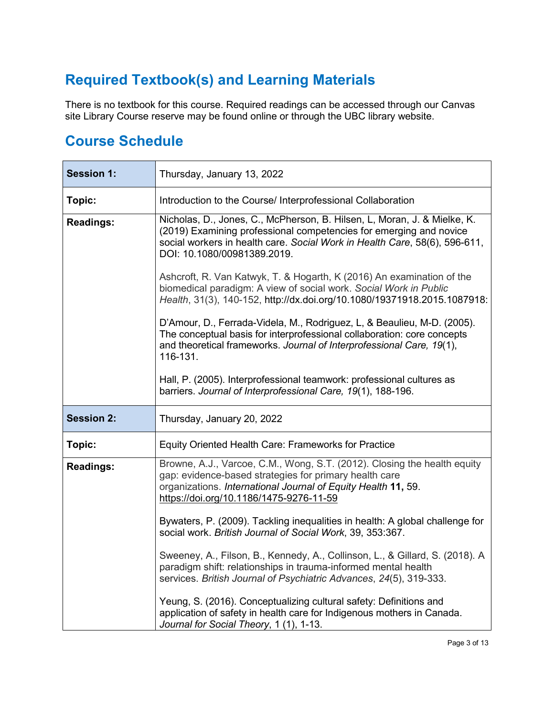# **Required Textbook(s) and Learning Materials**

There is no textbook for this course. Required readings can be accessed through our Canvas site Library Course reserve may be found online or through the UBC library website.

### **Course Schedule**

| <b>Session 1:</b> | Thursday, January 13, 2022                                                                                                                                                                                                                                                                                                                                                                                                                                                            |  |
|-------------------|---------------------------------------------------------------------------------------------------------------------------------------------------------------------------------------------------------------------------------------------------------------------------------------------------------------------------------------------------------------------------------------------------------------------------------------------------------------------------------------|--|
| Topic:            | Introduction to the Course/ Interprofessional Collaboration                                                                                                                                                                                                                                                                                                                                                                                                                           |  |
| <b>Readings:</b>  | Nicholas, D., Jones, C., McPherson, B. Hilsen, L, Moran, J. & Mielke, K.<br>(2019) Examining professional competencies for emerging and novice<br>social workers in health care. Social Work in Health Care, 58(6), 596-611,<br>DOI: 10.1080/00981389.2019.<br>Ashcroft, R. Van Katwyk, T. & Hogarth, K (2016) An examination of the<br>biomedical paradigm: A view of social work. Social Work in Public<br>Health, 31(3), 140-152, http://dx.doi.org/10.1080/19371918.2015.1087918: |  |
|                   | D'Amour, D., Ferrada-Videla, M., Rodriguez, L, & Beaulieu, M-D. (2005).<br>The conceptual basis for interprofessional collaboration: core concepts<br>and theoretical frameworks. Journal of Interprofessional Care, 19(1),<br>116-131.<br>Hall, P. (2005). Interprofessional teamwork: professional cultures as<br>barriers. Journal of Interprofessional Care, 19(1), 188-196.                                                                                                      |  |
| <b>Session 2:</b> | Thursday, January 20, 2022                                                                                                                                                                                                                                                                                                                                                                                                                                                            |  |
| Topic:            | Equity Oriented Health Care: Frameworks for Practice                                                                                                                                                                                                                                                                                                                                                                                                                                  |  |
| <b>Readings:</b>  | Browne, A.J., Varcoe, C.M., Wong, S.T. (2012). Closing the health equity<br>gap: evidence-based strategies for primary health care<br>organizations. International Journal of Equity Health 11, 59.<br>https://doi.org/10.1186/1475-9276-11-59                                                                                                                                                                                                                                        |  |
|                   | Bywaters, P. (2009). Tackling inequalities in health: A global challenge for<br>social work. British Journal of Social Work, 39, 353:367.                                                                                                                                                                                                                                                                                                                                             |  |
|                   | Sweeney, A., Filson, B., Kennedy, A., Collinson, L., & Gillard, S. (2018). A<br>paradigm shift: relationships in trauma-informed mental health<br>services. British Journal of Psychiatric Advances, 24(5), 319-333.                                                                                                                                                                                                                                                                  |  |
|                   | Yeung, S. (2016). Conceptualizing cultural safety: Definitions and<br>application of safety in health care for Indigenous mothers in Canada.<br>Journal for Social Theory, 1 (1), 1-13.                                                                                                                                                                                                                                                                                               |  |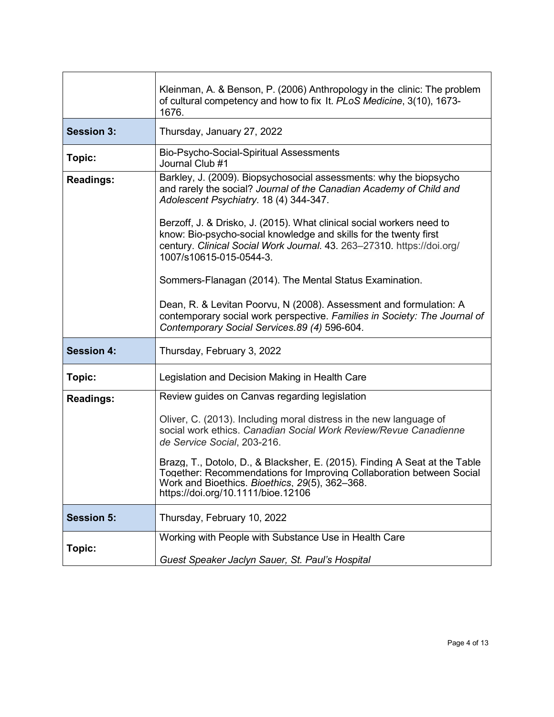|                   | Kleinman, A. & Benson, P. (2006) Anthropology in the clinic: The problem<br>of cultural competency and how to fix It. PLoS Medicine, 3(10), 1673-<br>1676.                                                                                                                                                                                                                                                                             |
|-------------------|----------------------------------------------------------------------------------------------------------------------------------------------------------------------------------------------------------------------------------------------------------------------------------------------------------------------------------------------------------------------------------------------------------------------------------------|
| <b>Session 3:</b> | Thursday, January 27, 2022                                                                                                                                                                                                                                                                                                                                                                                                             |
| Topic:            | Bio-Psycho-Social-Spiritual Assessments<br>Journal Club #1                                                                                                                                                                                                                                                                                                                                                                             |
| <b>Readings:</b>  | Barkley, J. (2009). Biopsychosocial assessments: why the biopsycho<br>and rarely the social? Journal of the Canadian Academy of Child and<br>Adolescent Psychiatry. 18 (4) 344-347.<br>Berzoff, J. & Drisko, J. (2015). What clinical social workers need to<br>know: Bio-psycho-social knowledge and skills for the twenty first<br>century. Clinical Social Work Journal. 43. 263-27310. https://doi.org/<br>1007/s10615-015-0544-3. |
|                   | Sommers-Flanagan (2014). The Mental Status Examination.<br>Dean, R. & Levitan Poorvu, N (2008). Assessment and formulation: A                                                                                                                                                                                                                                                                                                          |
|                   | contemporary social work perspective. Families in Society: The Journal of<br>Contemporary Social Services. 89 (4) 596-604.                                                                                                                                                                                                                                                                                                             |
| <b>Session 4:</b> | Thursday, February 3, 2022                                                                                                                                                                                                                                                                                                                                                                                                             |
| Topic:            | Legislation and Decision Making in Health Care                                                                                                                                                                                                                                                                                                                                                                                         |
| <b>Readings:</b>  | Review guides on Canvas regarding legislation                                                                                                                                                                                                                                                                                                                                                                                          |
|                   | Oliver, C. (2013). Including moral distress in the new language of<br>social work ethics. Canadian Social Work Review/Revue Canadienne<br>de Service Social, 203-216.                                                                                                                                                                                                                                                                  |
|                   | Brazg, T., Dotolo, D., & Blacksher, E. (2015). Finding A Seat at the Table<br>Together: Recommendations for Improving Collaboration between Social<br>Work and Bioethics. Bioethics, 29(5), 362-368.<br>https://doi.org/10.1111/bioe.12106                                                                                                                                                                                             |
| <b>Session 5:</b> | Thursday, February 10, 2022                                                                                                                                                                                                                                                                                                                                                                                                            |
| Topic:            | Working with People with Substance Use in Health Care<br>Guest Speaker Jaclyn Sauer, St. Paul's Hospital                                                                                                                                                                                                                                                                                                                               |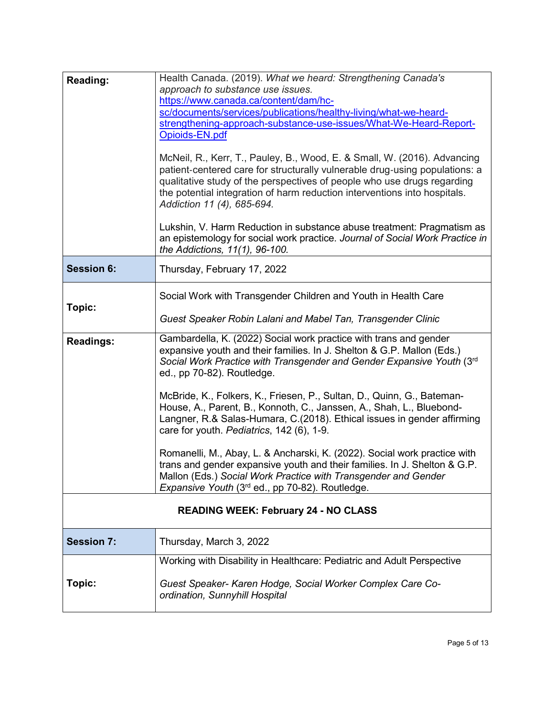| Reading:          | Health Canada. (2019). What we heard: Strengthening Canada's                                                                                                                                                                                                                                                                                                                                                            |
|-------------------|-------------------------------------------------------------------------------------------------------------------------------------------------------------------------------------------------------------------------------------------------------------------------------------------------------------------------------------------------------------------------------------------------------------------------|
|                   | approach to substance use issues.                                                                                                                                                                                                                                                                                                                                                                                       |
|                   | https://www.canada.ca/content/dam/hc-                                                                                                                                                                                                                                                                                                                                                                                   |
|                   | sc/documents/services/publications/healthy-living/what-we-heard-                                                                                                                                                                                                                                                                                                                                                        |
|                   | strengthening-approach-substance-use-issues/What-We-Heard-Report-                                                                                                                                                                                                                                                                                                                                                       |
|                   | Opioids-EN.pdf                                                                                                                                                                                                                                                                                                                                                                                                          |
|                   | McNeil, R., Kerr, T., Pauley, B., Wood, E. & Small, W. (2016). Advancing<br>patient-centered care for structurally vulnerable drug-using populations: a<br>qualitative study of the perspectives of people who use drugs regarding<br>the potential integration of harm reduction interventions into hospitals.<br>Addiction 11 (4), 685-694.<br>Lukshin, V. Harm Reduction in substance abuse treatment: Pragmatism as |
|                   | an epistemology for social work practice. Journal of Social Work Practice in<br>the Addictions, 11(1), 96-100.                                                                                                                                                                                                                                                                                                          |
| <b>Session 6:</b> | Thursday, February 17, 2022                                                                                                                                                                                                                                                                                                                                                                                             |
| Topic:            | Social Work with Transgender Children and Youth in Health Care                                                                                                                                                                                                                                                                                                                                                          |
|                   | Guest Speaker Robin Lalani and Mabel Tan, Transgender Clinic                                                                                                                                                                                                                                                                                                                                                            |
| <b>Readings:</b>  | Gambardella, K. (2022) Social work practice with trans and gender<br>expansive youth and their families. In J. Shelton & G.P. Mallon (Eds.)<br>Social Work Practice with Transgender and Gender Expansive Youth (3rd<br>ed., pp 70-82). Routledge.                                                                                                                                                                      |
|                   | McBride, K., Folkers, K., Friesen, P., Sultan, D., Quinn, G., Bateman-<br>House, A., Parent, B., Konnoth, C., Janssen, A., Shah, L., Bluebond-<br>Langner, R.& Salas-Humara, C.(2018). Ethical issues in gender affirming<br>care for youth. Pediatrics, 142 (6), 1-9.                                                                                                                                                  |
|                   | Romanelli, M., Abay, L. & Ancharski, K. (2022). Social work practice with<br>trans and gender expansive youth and their families. In J. Shelton & G.P.<br>Mallon (Eds.) Social Work Practice with Transgender and Gender<br><i>Expansive Youth</i> (3 <sup>rd</sup> ed., pp 70-82). Routledge.                                                                                                                          |
|                   | <b>READING WEEK: February 24 - NO CLASS</b>                                                                                                                                                                                                                                                                                                                                                                             |
| <b>Session 7:</b> | Thursday, March 3, 2022                                                                                                                                                                                                                                                                                                                                                                                                 |
|                   | Working with Disability in Healthcare: Pediatric and Adult Perspective                                                                                                                                                                                                                                                                                                                                                  |
| Topic:            | Guest Speaker- Karen Hodge, Social Worker Complex Care Co-<br>ordination, Sunnyhill Hospital                                                                                                                                                                                                                                                                                                                            |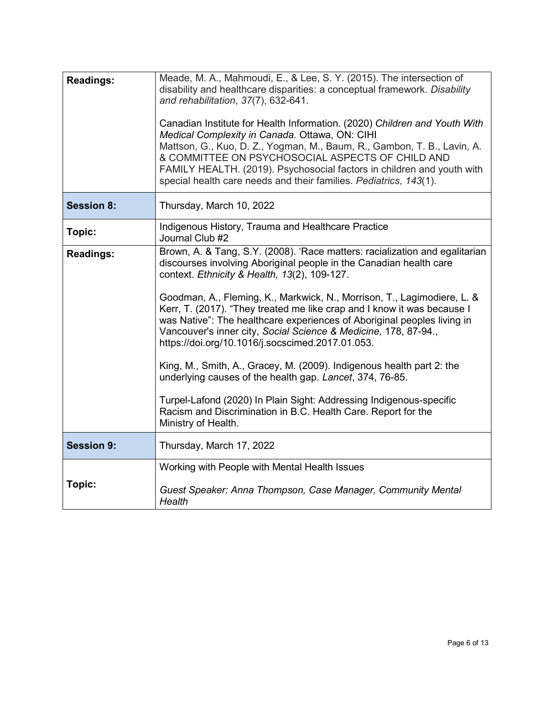| <b>Readings:</b>  | Meade, M. A., Mahmoudi, E., & Lee, S. Y. (2015). The intersection of<br>disability and healthcare disparities: a conceptual framework. Disability<br>and rehabilitation, 37(7), 632-641.<br>Canadian Institute for Health Information. (2020) Children and Youth With<br>Medical Complexity in Canada. Ottawa, ON: CIHI<br>Mattson, G., Kuo, D. Z., Yogman, M., Baum, R., Gambon, T. B., Lavin, A.<br>& COMMITTEE ON PSYCHOSOCIAL ASPECTS OF CHILD AND<br>FAMILY HEALTH. (2019). Psychosocial factors in children and youth with<br>special health care needs and their families. Pediatrics, 143(1).                                                                                                                                                                                                                                                         |
|-------------------|---------------------------------------------------------------------------------------------------------------------------------------------------------------------------------------------------------------------------------------------------------------------------------------------------------------------------------------------------------------------------------------------------------------------------------------------------------------------------------------------------------------------------------------------------------------------------------------------------------------------------------------------------------------------------------------------------------------------------------------------------------------------------------------------------------------------------------------------------------------|
| <b>Session 8:</b> | Thursday, March 10, 2022                                                                                                                                                                                                                                                                                                                                                                                                                                                                                                                                                                                                                                                                                                                                                                                                                                      |
| Topic:            | Indigenous History, Trauma and Healthcare Practice<br>Journal Club #2                                                                                                                                                                                                                                                                                                                                                                                                                                                                                                                                                                                                                                                                                                                                                                                         |
| <b>Readings:</b>  | Brown, A. & Tang, S.Y. (2008). 'Race matters: racialization and egalitarian<br>discourses involving Aboriginal people in the Canadian health care<br>context. Ethnicity & Health, 13(2), 109-127.<br>Goodman, A., Fleming, K., Markwick, N., Morrison, T., Lagimodiere, L. &<br>Kerr, T. (2017). "They treated me like crap and I know it was because I<br>was Native": The healthcare experiences of Aboriginal peoples living in<br>Vancouver's inner city, Social Science & Medicine, 178, 87-94.,<br>https://doi.org/10.1016/j.socscimed.2017.01.053.<br>King, M., Smith, A., Gracey, M. (2009). Indigenous health part 2: the<br>underlying causes of the health gap. Lancet, 374, 76-85.<br>Turpel-Lafond (2020) In Plain Sight: Addressing Indigenous-specific<br>Racism and Discrimination in B.C. Health Care. Report for the<br>Ministry of Health. |
| <b>Session 9:</b> | Thursday, March 17, 2022                                                                                                                                                                                                                                                                                                                                                                                                                                                                                                                                                                                                                                                                                                                                                                                                                                      |
| Topic:            | Working with People with Mental Health Issues<br>Guest Speaker: Anna Thompson, Case Manager, Community Mental<br>Health                                                                                                                                                                                                                                                                                                                                                                                                                                                                                                                                                                                                                                                                                                                                       |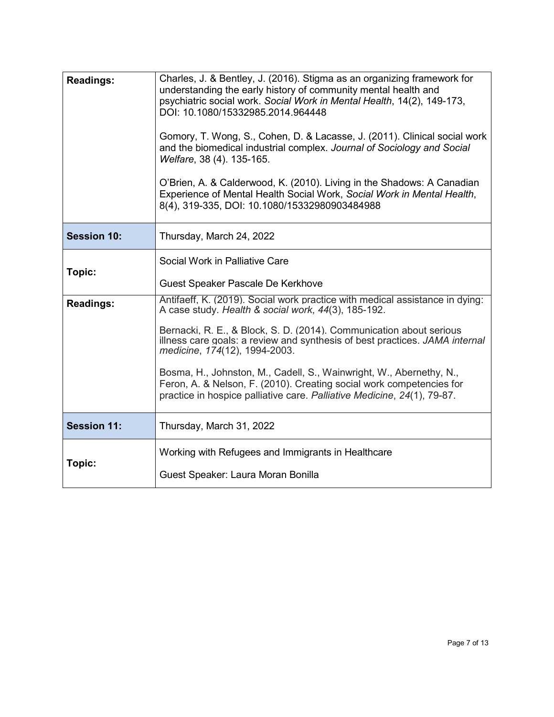| <b>Readings:</b>   | Charles, J. & Bentley, J. (2016). Stigma as an organizing framework for<br>understanding the early history of community mental health and<br>psychiatric social work. Social Work in Mental Health, 14(2), 149-173,<br>DOI: 10.1080/15332985.2014.964448<br>Gomory, T. Wong, S., Cohen, D. & Lacasse, J. (2011). Clinical social work<br>and the biomedical industrial complex. Journal of Sociology and Social<br>Welfare, 38 (4). 135-165.<br>O'Brien, A. & Calderwood, K. (2010). Living in the Shadows: A Canadian<br>Experience of Mental Health Social Work, Social Work in Mental Health,<br>8(4), 319-335, DOI: 10.1080/15332980903484988 |
|--------------------|---------------------------------------------------------------------------------------------------------------------------------------------------------------------------------------------------------------------------------------------------------------------------------------------------------------------------------------------------------------------------------------------------------------------------------------------------------------------------------------------------------------------------------------------------------------------------------------------------------------------------------------------------|
| <b>Session 10:</b> | Thursday, March 24, 2022                                                                                                                                                                                                                                                                                                                                                                                                                                                                                                                                                                                                                          |
| Topic:             | Social Work in Palliative Care                                                                                                                                                                                                                                                                                                                                                                                                                                                                                                                                                                                                                    |
|                    | Guest Speaker Pascale De Kerkhove                                                                                                                                                                                                                                                                                                                                                                                                                                                                                                                                                                                                                 |
| <b>Readings:</b>   | Antifaeff, K. (2019). Social work practice with medical assistance in dying:<br>A case study. Health & social work, 44(3), 185-192.                                                                                                                                                                                                                                                                                                                                                                                                                                                                                                               |
|                    | Bernacki, R. E., & Block, S. D. (2014). Communication about serious<br>illness care goals: a review and synthesis of best practices. JAMA internal<br>medicine, 174(12), 1994-2003.                                                                                                                                                                                                                                                                                                                                                                                                                                                               |
|                    | Bosma, H., Johnston, M., Cadell, S., Wainwright, W., Abernethy, N.,<br>Feron, A. & Nelson, F. (2010). Creating social work competencies for<br>practice in hospice palliative care. Palliative Medicine, 24(1), 79-87.                                                                                                                                                                                                                                                                                                                                                                                                                            |
| <b>Session 11:</b> | Thursday, March 31, 2022                                                                                                                                                                                                                                                                                                                                                                                                                                                                                                                                                                                                                          |
|                    | Working with Refugees and Immigrants in Healthcare                                                                                                                                                                                                                                                                                                                                                                                                                                                                                                                                                                                                |
| Topic:             | Guest Speaker: Laura Moran Bonilla                                                                                                                                                                                                                                                                                                                                                                                                                                                                                                                                                                                                                |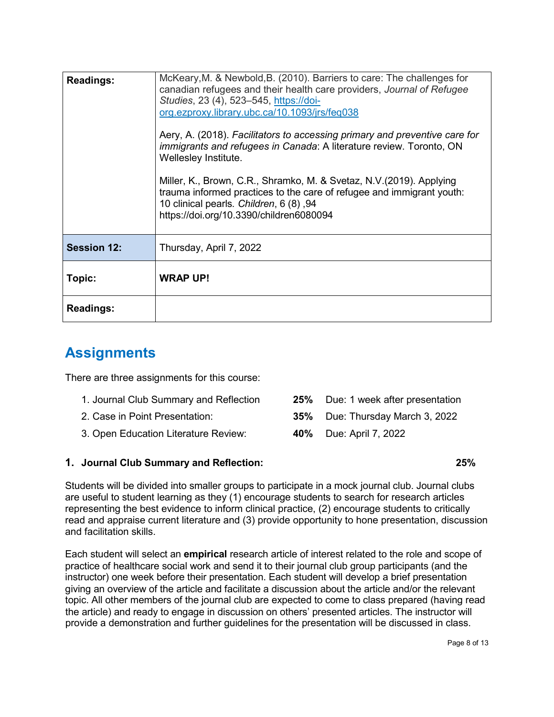| <b>Readings:</b>   | McKeary, M. & Newbold, B. (2010). Barriers to care: The challenges for<br>canadian refugees and their health care providers, Journal of Refugee<br>Studies, 23 (4), 523-545, https://doi-<br>org.ezproxy.library.ubc.ca/10.1093/jrs/feq038<br>Aery, A. (2018). Facilitators to accessing primary and preventive care for<br><i>immigrants and refugees in Canada: A literature review. Toronto, ON</i><br>Wellesley Institute.<br>Miller, K., Brown, C.R., Shramko, M. & Svetaz, N.V. (2019). Applying<br>trauma informed practices to the care of refugee and immigrant youth:<br>10 clinical pearls. Children, 6 (8), 94<br>https://doi.org/10.3390/children6080094 |
|--------------------|-----------------------------------------------------------------------------------------------------------------------------------------------------------------------------------------------------------------------------------------------------------------------------------------------------------------------------------------------------------------------------------------------------------------------------------------------------------------------------------------------------------------------------------------------------------------------------------------------------------------------------------------------------------------------|
| <b>Session 12:</b> | Thursday, April 7, 2022                                                                                                                                                                                                                                                                                                                                                                                                                                                                                                                                                                                                                                               |
| Topic:             | <b>WRAP UP!</b>                                                                                                                                                                                                                                                                                                                                                                                                                                                                                                                                                                                                                                                       |
| <b>Readings:</b>   |                                                                                                                                                                                                                                                                                                                                                                                                                                                                                                                                                                                                                                                                       |

### **Assignments**

There are three assignments for this course:

- 1. Journal Club Summary and Reflection **25%** Due: 1 week after presentation 2. Case in Point Presentation: **35%** Due: Thursday March 3, 2022
- 3. Open Education Literature Review: **40%** Due: April 7, 2022

### **1. Journal Club Summary and Reflection: 25%**

- 
- 

Students will be divided into smaller groups to participate in a mock journal club. Journal clubs are useful to student learning as they (1) encourage students to search for research articles representing the best evidence to inform clinical practice, (2) encourage students to critically read and appraise current literature and (3) provide opportunity to hone presentation, discussion and facilitation skills.

Each student will select an **empirical** research article of interest related to the role and scope of practice of healthcare social work and send it to their journal club group participants (and the instructor) one week before their presentation. Each student will develop a brief presentation giving an overview of the article and facilitate a discussion about the article and/or the relevant topic. All other members of the journal club are expected to come to class prepared (having read the article) and ready to engage in discussion on others' presented articles. The instructor will provide a demonstration and further guidelines for the presentation will be discussed in class.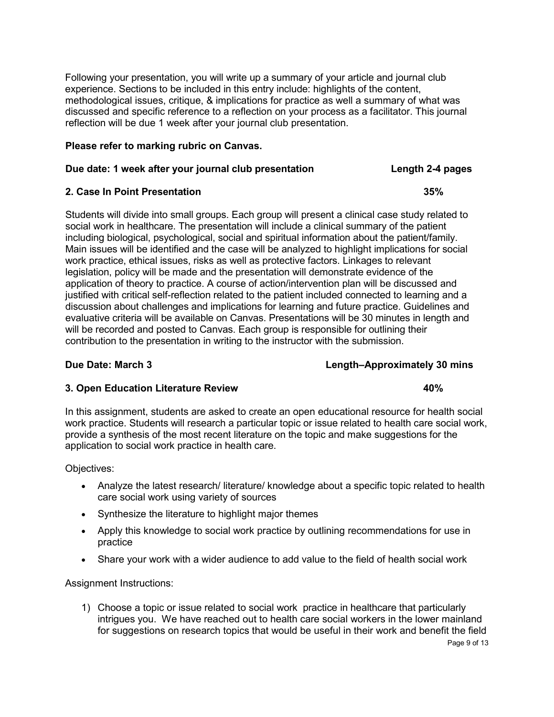Following your presentation, you will write up a summary of your article and journal club experience. Sections to be included in this entry include: highlights of the content, methodological issues, critique, & implications for practice as well a summary of what was discussed and specific reference to a reflection on your process as a facilitator. This journal reflection will be due 1 week after your journal club presentation.

#### **Please refer to marking rubric on Canvas.**

#### **Due date: 1 week after your journal club presentation Length 2-4 pages**

### **2. Case In Point Presentation 35%**

Students will divide into small groups. Each group will present a clinical case study related to social work in healthcare. The presentation will include a clinical summary of the patient including biological, psychological, social and spiritual information about the patient/family. Main issues will be identified and the case will be analyzed to highlight implications for social work practice, ethical issues, risks as well as protective factors. Linkages to relevant legislation, policy will be made and the presentation will demonstrate evidence of the application of theory to practice. A course of action/intervention plan will be discussed and justified with critical self-reflection related to the patient included connected to learning and a discussion about challenges and implications for learning and future practice. Guidelines and evaluative criteria will be available on Canvas. Presentations will be 30 minutes in length and will be recorded and posted to Canvas. Each group is responsible for outlining their contribution to the presentation in writing to the instructor with the submission.

#### **Due Date: March 3 Length–Approximately 30 mins**

### **3. Open Education Literature Review 40%**

In this assignment, students are asked to create an open educational resource for health social work practice. Students will research a particular topic or issue related to health care social work, provide a synthesis of the most recent literature on the topic and make suggestions for the application to social work practice in health care.

Objectives:

- Analyze the latest research/ literature/ knowledge about a specific topic related to health care social work using variety of sources
- Synthesize the literature to highlight major themes
- Apply this knowledge to social work practice by outlining recommendations for use in practice
- Share your work with a wider audience to add value to the field of health social work

Assignment Instructions:

Page 9 of 13 1) Choose a topic or issue related to social work practice in healthcare that particularly intrigues you. We have reached out to health care social workers in the lower mainland for suggestions on research topics that would be useful in their work and benefit the field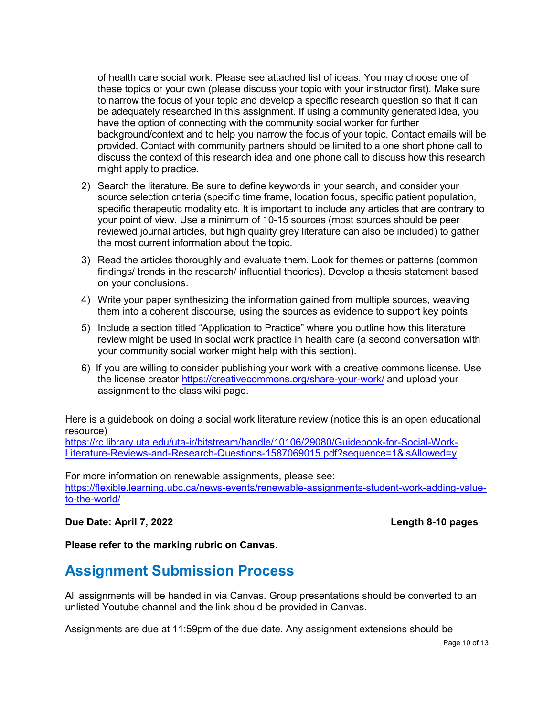of health care social work. Please see attached list of ideas. You may choose one of these topics or your own (please discuss your topic with your instructor first). Make sure to narrow the focus of your topic and develop a specific research question so that it can be adequately researched in this assignment. If using a community generated idea, you have the option of connecting with the community social worker for further background/context and to help you narrow the focus of your topic. Contact emails will be provided. Contact with community partners should be limited to a one short phone call to discuss the context of this research idea and one phone call to discuss how this research might apply to practice.

- 2) Search the literature. Be sure to define keywords in your search, and consider your source selection criteria (specific time frame, location focus, specific patient population, specific therapeutic modality etc. It is important to include any articles that are contrary to your point of view. Use a minimum of 10-15 sources (most sources should be peer reviewed journal articles, but high quality grey literature can also be included) to gather the most current information about the topic.
- 3) Read the articles thoroughly and evaluate them. Look for themes or patterns (common findings/ trends in the research/ influential theories). Develop a thesis statement based on your conclusions.
- 4) Write your paper synthesizing the information gained from multiple sources, weaving them into a coherent discourse, using the sources as evidence to support key points.
- 5) Include a section titled "Application to Practice" where you outline how this literature review might be used in social work practice in health care (a second conversation with your community social worker might help with this section).
- 6) If you are willing to consider publishing your work with a creative commons license. Use the license creator<https://creativecommons.org/share-your-work/> and upload your assignment to the class wiki page.

Here is a guidebook on doing a social work literature review (notice this is an open educational resource)

[https://rc.library.uta.edu/uta-ir/bitstream/handle/10106/29080/Guidebook-for-Social-Work-](https://rc.library.uta.edu/uta-ir/bitstream/handle/10106/29080/Guidebook-for-Social-Work-Literature-Reviews-and-Research-Questions-1587069015.pdf?sequence=1&isAllowed=y)[Literature-Reviews-and-Research-Questions-1587069015.pdf?sequence=1&isAllowed=y](https://rc.library.uta.edu/uta-ir/bitstream/handle/10106/29080/Guidebook-for-Social-Work-Literature-Reviews-and-Research-Questions-1587069015.pdf?sequence=1&isAllowed=y)

For more information on renewable assignments, please see: [https://flexible.learning.ubc.ca/news-events/renewable-assignments-student-work-adding-value](https://flexible.learning.ubc.ca/news-events/renewable-assignments-student-work-adding-value-to-the-world/)[to-the-world/](https://flexible.learning.ubc.ca/news-events/renewable-assignments-student-work-adding-value-to-the-world/)

#### **Due Date: April 7, 2022 Length 8-10 pages**

### **Please refer to the marking rubric on Canvas.**

### **Assignment Submission Process**

All assignments will be handed in via Canvas. Group presentations should be converted to an unlisted Youtube channel and the link should be provided in Canvas.

Assignments are due at 11:59pm of the due date. Any assignment extensions should be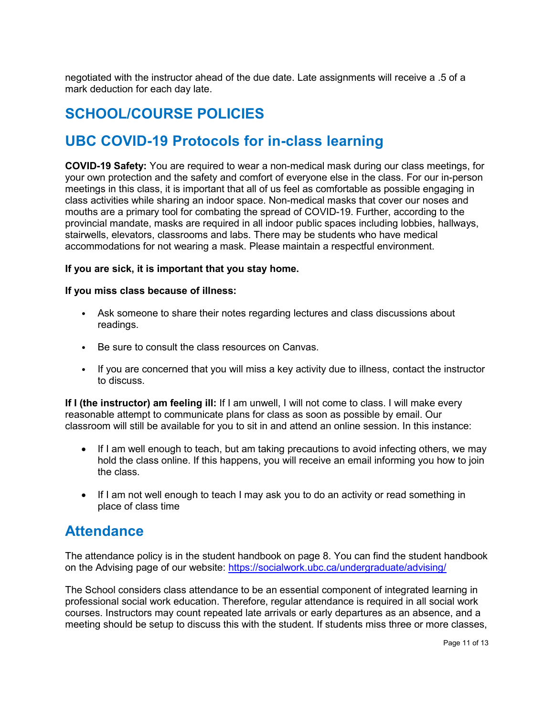negotiated with the instructor ahead of the due date. Late assignments will receive a .5 of a mark deduction for each day late.

### **SCHOOL/COURSE POLICIES**

### **UBC COVID-19 Protocols for in-class learning**

**COVID-19 Safety:** You are required to wear a non-medical mask during our class meetings, for your own protection and the safety and comfort of everyone else in the class. For our in-person meetings in this class, it is important that all of us feel as comfortable as possible engaging in class activities while sharing an indoor space. Non-medical masks that cover our noses and mouths are a primary tool for combating the spread of COVID-19. Further, according to the provincial mandate, masks are required in all indoor public spaces including lobbies, hallways, stairwells, elevators, classrooms and labs. There may be students who have medical accommodations for not wearing a mask. Please maintain a respectful environment.

#### **If you are sick, it is important that you stay home.**

#### **If you miss class because of illness:**

- Ask someone to share their notes regarding lectures and class discussions about readings.
- Be sure to consult the class resources on Canvas.
- If you are concerned that you will miss a key activity due to illness, contact the instructor to discuss.

**If I (the instructor) am feeling ill:** If I am unwell, I will not come to class. I will make every reasonable attempt to communicate plans for class as soon as possible by email. Our classroom will still be available for you to sit in and attend an online session. In this instance:

- If I am well enough to teach, but am taking precautions to avoid infecting others, we may hold the class online. If this happens, you will receive an email informing you how to join the class.
- If I am not well enough to teach I may ask you to do an activity or read something in place of class time

### **Attendance**

The attendance policy is in the student handbook on page 8. You can find the student handbook on the Advising page of our website:<https://socialwork.ubc.ca/undergraduate/advising/>

The School considers class attendance to be an essential component of integrated learning in professional social work education. Therefore, regular attendance is required in all social work courses. Instructors may count repeated late arrivals or early departures as an absence, and a meeting should be setup to discuss this with the student. If students miss three or more classes,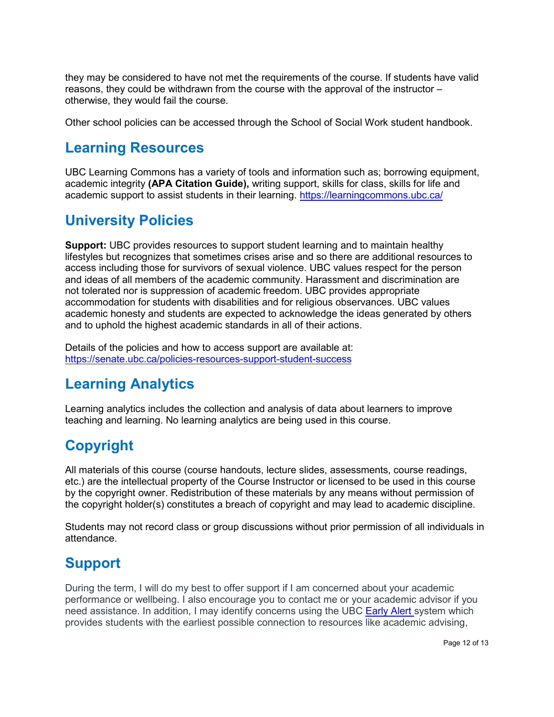they may be considered to have not met the requirements of the course. If students have valid reasons, they could be withdrawn from the course with the approval of the instructor – otherwise, they would fail the course.

Other school policies can be accessed through the School of Social Work student handbook.

### **Learning Resources**

UBC Learning Commons has a variety of tools and information such as; borrowing equipment, academic integrity **(APA Citation Guide),** writing support, skills for class, skills for life and academic support to assist students in their learning.<https://learningcommons.ubc.ca/>

### **University Policies**

**Support:** UBC provides resources to support student learning and to maintain healthy lifestyles but recognizes that sometimes crises arise and so there are additional resources to access including those for survivors of sexual violence. UBC values respect for the person and ideas of all members of the academic community. Harassment and discrimination are not tolerated nor is suppression of academic freedom. UBC provides appropriate accommodation for students with disabilities and for religious observances. UBC values academic honesty and students are expected to acknowledge the ideas generated by others and to uphold the highest academic standards in all of their actions.

Details of the policies and how to access support are available at: <https://senate.ubc.ca/policies-resources-support-student-success>

# **Learning Analytics**

Learning analytics includes the collection and analysis of data about learners to improve teaching and learning. No learning analytics are being used in this course.

# **Copyright**

All materials of this course (course handouts, lecture slides, assessments, course readings, etc.) are the intellectual property of the Course Instructor or licensed to be used in this course by the copyright owner. Redistribution of these materials by any means without permission of the copyright holder(s) constitutes a breach of copyright and may lead to academic discipline.

Students may not record class or group discussions without prior permission of all individuals in attendance.

# **Support**

During the term, I will do my best to offer support if I am concerned about your academic performance or wellbeing. I also encourage you to contact me or your academic advisor if you need assistance. In addition, I may identify concerns using the UBC [Early Alert](http://earlyalert.ubc.ca/) system which provides students with the earliest possible connection to resources like academic advising,